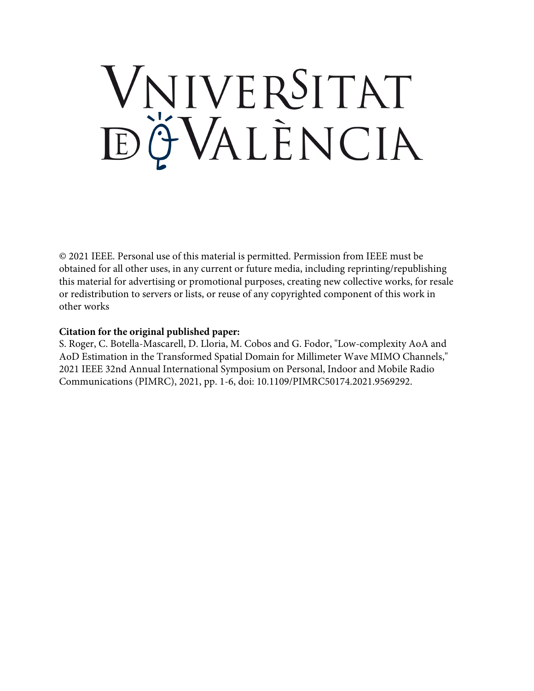# VNIVERSITAT ĐỘVALENCIA

© 2021 IEEE. Personal use of this material is permitted. Permission from IEEE must be obtained for all other uses, in any current or future media, including reprinting/republishing this material for advertising or promotional purposes, creating new collective works, for resale or redistribution to servers or lists, or reuse of any copyrighted component of this work in other works

### **Citation for the original published paper:**

S. Roger, C. Botella-Mascarell, D. Lloria, M. Cobos and G. Fodor, "Low-complexity AoA and AoD Estimation in the Transformed Spatial Domain for Millimeter Wave MIMO Channels," 2021 IEEE 32nd Annual International Symposium on Personal, Indoor and Mobile Radio Communications (PIMRC), 2021, pp. 1-6, doi: 10.1109/PIMRC50174.2021.9569292.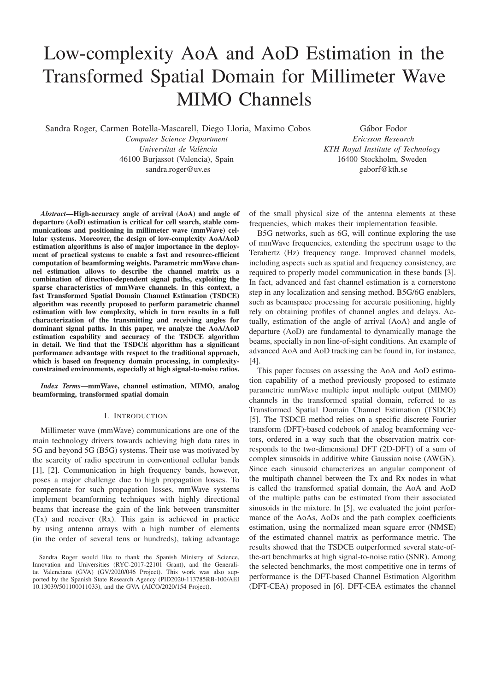## Low-complexity AoA and AoD Estimation in the Transformed Spatial Domain for Millimeter Wave MIMO Channels

Sandra Roger, Carmen Botella-Mascarell, Diego Lloria, Maximo Cobos

*Computer Science Department Universitat de Valencia `* 46100 Burjassot (Valencia), Spain sandra.roger@uv.es

Gábor Fodor *Ericsson Research KTH Royal Institute of Technology* 16400 Stockholm, Sweden gaborf@kth.se

*Abstract*—High-accuracy angle of arrival (AoA) and angle of departure (AoD) estimation is critical for cell search, stable communications and positioning in millimeter wave (mmWave) cellular systems. Moreover, the design of low-complexity AoA/AoD estimation algorithms is also of major importance in the deployment of practical systems to enable a fast and resource-efficient computation of beamforming weights. Parametric mmWave channel estimation allows to describe the channel matrix as a combination of direction-dependent signal paths, exploiting the sparse characteristics of mmWave channels. In this context, a fast Transformed Spatial Domain Channel Estimation (TSDCE) algorithm was recently proposed to perform parametric channel estimation with low complexity, which in turn results in a full characterization of the transmitting and receiving angles for dominant signal paths. In this paper, we analyze the AoA/AoD estimation capability and accuracy of the TSDCE algorithm in detail. We find that the TSDCE algorithm has a significant performance advantage with respect to the traditional approach, which is based on frequency domain processing, in complexityconstrained environments, especially at high signal-to-noise ratios.

*Index Terms*—mmWave, channel estimation, MIMO, analog beamforming, transformed spatial domain

#### I. INTRODUCTION

Millimeter wave (mmWave) communications are one of the main technology drivers towards achieving high data rates in 5G and beyond 5G (B5G) systems. Their use was motivated by the scarcity of radio spectrum in conventional cellular bands [1], [2]. Communication in high frequency bands, however, poses a major challenge due to high propagation losses. To compensate for such propagation losses, mmWave systems implement beamforming techniques with highly directional beams that increase the gain of the link between transmitter (Tx) and receiver (Rx). This gain is achieved in practice by using antenna arrays with a high number of elements (in the order of several tens or hundreds), taking advantage

of the small physical size of the antenna elements at these frequencies, which makes their implementation feasible.

B5G networks, such as 6G, will continue exploring the use of mmWave frequencies, extending the spectrum usage to the Terahertz (Hz) frequency range. Improved channel models, including aspects such as spatial and frequency consistency, are required to properly model communication in these bands [3]. In fact, advanced and fast channel estimation is a cornerstone step in any localization and sensing method. B5G/6G enablers, such as beamspace processing for accurate positioning, highly rely on obtaining profiles of channel angles and delays. Actually, estimation of the angle of arrival (AoA) and angle of departure (AoD) are fundamental to dynamically manage the beams, specially in non line-of-sight conditions. An example of advanced AoA and AoD tracking can be found in, for instance, [4].

This paper focuses on assessing the AoA and AoD estimation capability of a method previously proposed to estimate parametric mmWave multiple input multiple output (MIMO) channels in the transformed spatial domain, referred to as Transformed Spatial Domain Channel Estimation (TSDCE) [5]. The TSDCE method relies on a specific discrete Fourier transform (DFT)-based codebook of analog beamforming vectors, ordered in a way such that the observation matrix corresponds to the two-dimensional DFT (2D-DFT) of a sum of complex sinusoids in additive white Gaussian noise (AWGN). Since each sinusoid characterizes an angular component of the multipath channel between the Tx and Rx nodes in what is called the transformed spatial domain, the AoA and AoD of the multiple paths can be estimated from their associated sinusoids in the mixture. In [5], we evaluated the joint performance of the AoAs, AoDs and the path complex coefficients estimation, using the normalized mean square error (NMSE) of the estimated channel matrix as performance metric. The results showed that the TSDCE outperformed several state-ofthe-art benchmarks at high signal-to-noise ratio (SNR). Among the selected benchmarks, the most competitive one in terms of performance is the DFT-based Channel Estimation Algorithm (DFT-CEA) proposed in [6]. DFT-CEA estimates the channel

Sandra Roger would like to thank the Spanish Ministry of Science, Innovation and Universities (RYC-2017-22101 Grant), and the Generalitat Valenciana (GVA) (GV/2020/046 Project). This work was also supported by the Spanish State Research Agency (PID2020-113785RB-100/AEI 10.13039/501100011033), and the GVA (AICO/2020/154 Project).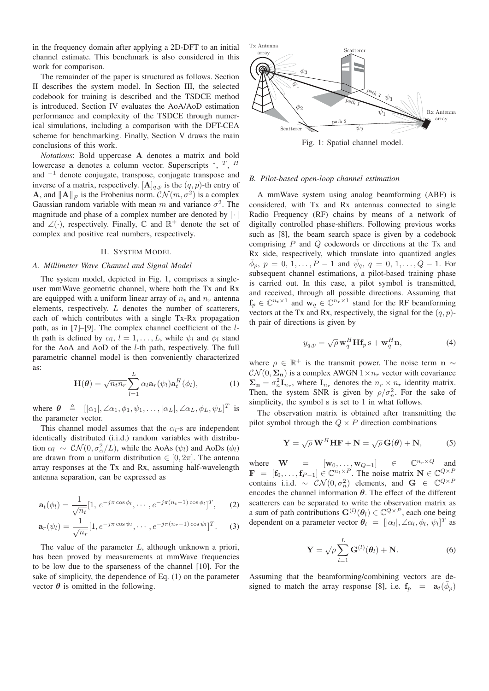in the frequency domain after applying a 2D-DFT to an initial channel estimate. This benchmark is also considered in this work for comparison.

The remainder of the paper is structured as follows. Section II describes the system model. In Section III, the selected codebook for training is described and the TSDCE method is introduced. Section IV evaluates the AoA/AoD estimation performance and complexity of the TSDCE through numerical simulations, including a comparison with the DFT-CEA scheme for benchmarking. Finally, Section V draws the main conclusions of this work.

*Notations*: Bold uppercase **A** denotes a matrix and bold lowercase **a** denotes a column vector. Superscripts <sup>∗</sup>, <sup>T</sup>, <sup>H</sup> and  $^{-1}$  denote conjugate, transpose, conjugate transpose and inverse of a matrix, respectively.  $[A]_{q,p}$  is the  $(q, p)$ -th entry of **A**, and  $||A||_F$  is the Frobenius norm.  $CN(m, \sigma^2)$  is a complex Gaussian random variable with mean m and variance  $\sigma^2$ . The magnitude and phase of a complex number are denoted by  $|\cdot|$ and  $\angle(\cdot)$ , respectively. Finally,  $\mathbb C$  and  $\mathbb R^+$  denote the set of complex and positive real numbers, respectively.

#### II. SYSTEM MODEL

#### *A. Millimeter Wave Channel and Signal Model*

The system model, depicted in Fig. 1, comprises a singleuser mmWave geometric channel, where both the Tx and Rx are equipped with a uniform linear array of  $n_t$  and  $n_r$  antenna elements, respectively.  $L$  denotes the number of scatterers, each of which contributes with a single Tx-Rx propagation path, as in [7]–[9]. The complex channel coefficient of the lth path is defined by  $\alpha_l$ ,  $l = 1, \ldots, L$ , while  $\psi_l$  and  $\phi_l$  stand for the AoA and AoD of the l-th path, respectively. The full parametric channel model is then conveniently characterized as:

$$
\mathbf{H}(\boldsymbol{\theta}) = \sqrt{n_t n_r} \sum_{l=1}^{L} \alpha_l \mathbf{a}_r(\psi_l) \mathbf{a}_t^H(\phi_l), \qquad (1)
$$

where  $\theta \triangleq [|\alpha_1|, \angle \alpha_1, \phi_1, \psi_1, \dots, |\alpha_L|, \angle \alpha_L, \phi_L, \psi_L]^T$  is the parameter vector.

This channel model assumes that the  $\alpha_l$ -s are independent identically distributed (i.i.d.) random variables with distribution  $\alpha_l \sim \mathcal{CN}(0, \sigma_\alpha^2/L)$ , while the AoAs  $(\psi_l)$  and AoDs  $(\phi_l)$ are drawn from a uniform distribution  $\in [0, 2\pi]$ . The antenna array responses at the Tx and Rx, assuming half-wavelength antenna separation, can be expressed as

$$
\mathbf{a}_t(\phi_l) = \frac{1}{\sqrt{n_t}} [1, e^{-j\pi \cos \phi_l}, \cdots, e^{-j\pi(n_t-1)\cos \phi_l}]^T, \qquad (2)
$$

$$
\mathbf{a}_r(\psi_l) = \frac{1}{\sqrt{n_r}} [1, e^{-j\pi \cos \psi_l}, \cdots, e^{-j\pi(n_r-1)\cos \psi_l}]^T.
$$
 (3)

The value of the parameter L, although unknown a priori, has been proved by measurements at mmWave frequencies to be low due to the sparseness of the channel [10]. For the sake of simplicity, the dependence of Eq. (1) on the parameter vector  $\theta$  is omitted in the following.



Fig. 1: Spatial channel model.

#### *B. Pilot-based open-loop channel estimation*

A mmWave system using analog beamforming (ABF) is considered, with Tx and Rx antennas connected to single Radio Frequency (RF) chains by means of a network of digitally controlled phase-shifters. Following previous works such as [8], the beam search space is given by a codebook comprising P and Q codewords or directions at the Tx and Rx side, respectively, which translate into quantized angles  $\bar{\phi}_p, p = 0, 1, \ldots, P - 1$  and  $\bar{\psi}_q, q = 0, 1, \ldots, Q - 1$ . For subsequent channel estimations, a pilot-based training phase is carried out. In this case, a pilot symbol is transmitted, and received, through all possible directions. Assuming that  $f_p \in \mathbb{C}^{n_t \times 1}$  and  $\mathbf{w}_q \in \mathbb{C}^{n_r \times 1}$  stand for the RF beamforming vectors at the Tx and Rx, respectively, the signal for the  $(q, p)$ th pair of directions is given by

$$
y_{q,p} = \sqrt{\rho} \mathbf{w}_q^H \mathbf{H} \mathbf{f}_p \, \mathbf{s} + \mathbf{w}_q^H \mathbf{n}, \tag{4}
$$

where  $\rho \in \mathbb{R}^+$  is the transmit power. The noise term **n**  $\sim$  $\mathcal{CN}(0, \Sigma_n)$  is a complex AWGN  $1 \times n_r$  vector with covariance  $\Sigma_n = \sigma_n^2 \mathbf{I}_{n_r}$ , where  $\mathbf{I}_{n_r}$  denotes the  $n_r \times n_r$  identity matrix. Then, the system SNR is given by  $\rho/\sigma_n^2$ . For the sake of simplicity, the symbol s is set to 1 in what follows.

The observation matrix is obtained after transmitting the pilot symbol through the  $Q \times P$  direction combinations

$$
\mathbf{Y} = \sqrt{\rho} \mathbf{W}^H \mathbf{H} \mathbf{F} + \mathbf{N} = \sqrt{\rho} \mathbf{G}(\boldsymbol{\theta}) + \mathbf{N},
$$
 (5)

where  $\mathbf{W} = [\mathbf{w}_0, \dots, \mathbf{w}_{Q-1}] \in \mathbb{C}^{n_r \times Q}$  and  $\mathbf{F} = [\mathbf{f}_0, \dots, \mathbf{f}_{P-1}] \in \mathbb{C}^{n_t \times P}$ . The noise matrix  $\mathbf{N} \in \mathbb{C}^{Q \times P}$ contains i.i.d. ~  $CN(0, \sigma_n^2)$  elements, and **G** ∈  $\mathbb{C}^{Q \times P}$ encodes the channel information  $\theta$ . The effect of the different scatterers can be separated to write the observation matrix as a sum of path contributions  $\mathbf{G}^{(l)}(\theta_l) \in \mathbb{C}^{Q \times P}$ , each one being dependent on a parameter vector  $\theta_l = [|\alpha_l|, \angle \alpha_l, \phi_l, \psi_l]^T$  as

$$
\mathbf{Y} = \sqrt{\rho} \sum_{l=1}^{L} \mathbf{G}^{(l)}(\boldsymbol{\theta}_l) + \mathbf{N}.
$$
 (6)

Assuming that the beamforming/combining vectors are designed to match the array response [8], i.e.  $f_p = a_t(\bar{\phi}_p)$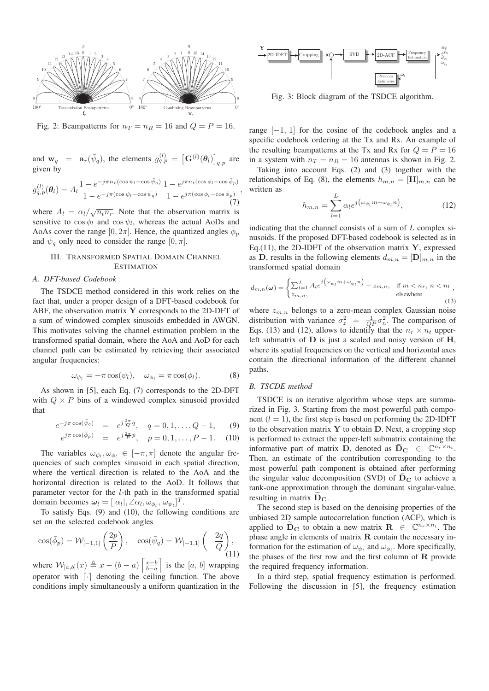

Fig. 2: Beampatterns for  $n_T = n_R = 16$  and  $Q = P = 16$ .

and  $\mathbf{w}_q = \mathbf{a}_r(\bar{\psi}_q)$ , the elements  $g_{q,p}^{(l)} = [\mathbf{G}^{(l)}(\theta_l)]_{q,p}$  are given by

$$
g_{q,p}^{(l)}(\boldsymbol{\theta}_l) = A_l \frac{1 - e^{-j\pi n_r(\cos\psi_l - \cos\bar{\psi}_q)}}{1 - e^{-j\pi(\cos\psi_l - \cos\bar{\psi}_q)}} \frac{1 - e^{j\pi n_t(\cos\phi_l - \cos\bar{\phi}_p)}}{1 - e^{j\pi(\cos\phi_l - \cos\bar{\phi}_p)}},\tag{7}
$$

where  $A_l = \alpha_l / \sqrt{n_t n_r}$ . Note that the observation matrix is sensitive to  $\cos \phi_l$  and  $\cos \psi_l$ , whereas the actual AoDs and AoAs cover the range  $[0, 2\pi]$ . Hence, the quantized angles  $\phi_p$ and  $\psi_q$  only need to consider the range  $[0, \pi]$ .

#### III. TRANSFORMED SPATIAL DOMAIN CHANNEL **ESTIMATION**

#### *A. DFT-based Codebook*

The TSDCE method considered in this work relies on the fact that, under a proper design of a DFT-based codebook for ABF, the observation matrix **Y** corresponds to the 2D-DFT of a sum of windowed complex sinusoids embedded in AWGN. This motivates solving the channel estimation problem in the transformed spatial domain, where the AoA and AoD for each channel path can be estimated by retrieving their associated angular frequencies:

$$
\omega_{\psi_l} = -\pi \cos(\psi_l), \quad \omega_{\phi_l} = \pi \cos(\phi_l). \tag{8}
$$

As shown in [5], each Eq. (7) corresponds to the 2D-DFT with  $Q \times P$  bins of a windowed complex sinusoid provided that

$$
e^{-j\pi \cos(\bar{\psi}_q)} = e^{j\frac{2\pi}{Q}q}, \quad q = 0, 1, \dots, Q - 1,
$$
 (9)

$$
e^{j\pi \cos(\bar{\phi}_p)} = e^{j\frac{2\pi}{P}p}, \quad p = 0, 1, \dots, P - 1. \quad (10)
$$

The variables  $\omega_{\psi_l}, \omega_{\phi_l} \in [-\pi, \pi]$  denote the angular frequencies of such complex sinusoid in each spatial direction, where the vertical direction is related to the AoA and the horizontal direction is related to the AoD. It follows that parameter vector for the l-th path in the transformed spatial domain becomes  $\boldsymbol{\omega}_l = [|\alpha_l|, \angle \alpha_l, \omega_{\phi_l}, \omega_{\psi_l}]^T$ .

To satisfy Eqs. (9) and (10), the following conditions are set on the selected codebook angles

$$
\cos(\bar{\phi}_p) = \mathcal{W}_{[-1,1]} \left( \frac{2p}{P} \right), \quad \cos(\bar{\psi}_q) = \mathcal{W}_{[-1,1]} \left( -\frac{2q}{Q} \right), \tag{11}
$$

where  $W_{[a,b]}(x) \triangleq x - (b-a) \left[ \frac{x-b}{b-a} \right]$ is the  $[a, b]$  wrapping operator with  $\lceil \cdot \rceil$  denoting the ceiling function. The above conditions imply simultaneously a uniform quantization in the



Fig. 3: Block diagram of the TSDCE algorithm.

range  $[-1, 1]$  for the cosine of the codebook angles and a specific codebook ordering at the Tx and Rx. An example of the resulting beampatterns at the Tx and Rx for  $Q = P = 16$ in a system with  $n_T = n_R = 16$  antennas is shown in Fig. 2.

Taking into account Eqs. (2) and (3) together with the relationships of Eq. (8), the elements  $h_{m,n} = [\mathbf{H}]_{m,n}$  can be written as

$$
h_{m,n} = \sum_{l=1}^{L} \alpha_l e^{j(\omega_{\psi_l} m + \omega_{\phi_l} n)}, \qquad (12)
$$

indicating that the channel consists of a sum of  $L$  complex sinusoids. If the proposed DFT-based codebook is selected as in Eq.(11), the 2D-IDFT of the observation matrix **Y**, expressed as **D**, results in the following elements  $d_{m,n} = [\mathbf{D}]_{m,n}$  in the transformed spatial domain

$$
d_{m,n}(\omega) = \begin{cases} \sum_{l=1}^{L} A_l e^{j \left(\omega_{\psi_l} m + \omega_{\phi_l} n\right)} + z_{m,n}, & \text{if } m < n_r, n < n_t \\ z_{m,n}, & \text{elsewhere} \end{cases}
$$
\n
$$
(13)
$$

where  $z_{m,n}$  belongs to a zero-mean complex Gaussian noise distribution with variance  $\sigma_z^2 = \frac{1}{QP} \sigma_n^2$ . The comparison of Eqs. (13) and (12), allows to identify that the  $n_r \times n_t$  upperleft submatrix of **D** is just a scaled and noisy version of **H**, where its spatial frequencies on the vertical and horizontal axes contain the directional information of the different channel paths.

#### *B. TSCDE method*

TSDCE is an iterative algorithm whose steps are summarized in Fig. 3. Starting from the most powerful path component  $(l = 1)$ , the first step is based on performing the 2D-IDFT to the observation matrix **Y** to obtain **D**. Next, a cropping step is performed to extract the upper-left submatrix containing the informative part of matrix **D**, denoted as  $\overline{\mathbf{D}}_{\mathbf{C}} \in \mathbb{C}^{n_r \times n_t}$ . Then, an estimate of the contribution corresponding to the most powerful path component is obtained after performing the singular value decomposition (SVD) of  $\overline{D}_C$  to achieve a rank-one approximation through the dominant singular-value, resulting in matrix  $D_{\rm C}$ .

The second step is based on the denoising properties of the unbiased 2D sample autocorrelation function (ACF), which is applied to  $\mathbf{D}_{\mathbf{C}}$  to obtain a new matrix  $\mathbf{R} \in \mathbb{C}^{n_r \times n_t}$ . The phase angle in elements of matrix **R** contain the necessary information for the estimation of  $\omega_{\psi_l}$  and  $\omega_{\phi_l}$ . More specifically, the phases of the first row and the first column of **R** provide the required frequency information.

In a third step, spatial frequency estimation is performed. Following the discussion in [5], the frequency estimation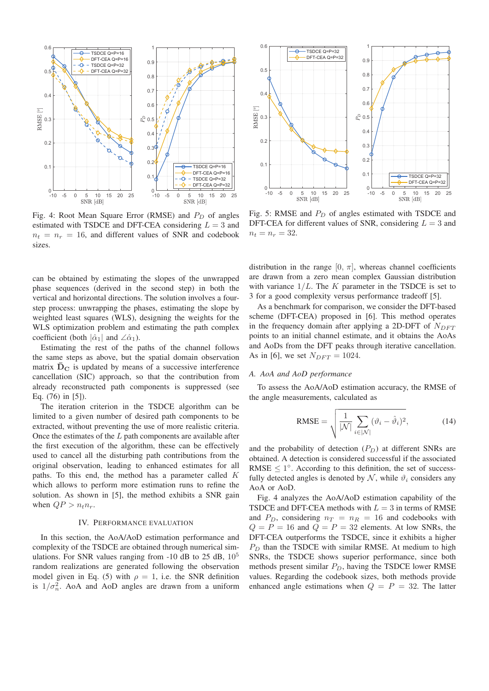

Fig. 4: Root Mean Square Error (RMSE) and  $P_D$  of angles estimated with TSDCE and DFT-CEA considering  $L = 3$  and  $n_t = n_r = 16$ , and different values of SNR and codebook sizes.

can be obtained by estimating the slopes of the unwrapped phase sequences (derived in the second step) in both the vertical and horizontal directions. The solution involves a fourstep process: unwrapping the phases, estimating the slope by weighted least squares (WLS), designing the weights for the WLS optimization problem and estimating the path complex coefficient (both  $|\hat{\alpha}_1|$  and  $\angle \hat{\alpha}_1$ ).

Estimating the rest of the paths of the channel follows the same steps as above, but the spatial domain observation matrix  $\bar{D}_C$  is updated by means of a successive interference cancellation (SIC) approach, so that the contribution from already reconstructed path components is suppressed (see Eq. (76) in [5]).

The iteration criterion in the TSDCE algorithm can be limited to a given number of desired path components to be extracted, without preventing the use of more realistic criteria. Once the estimates of the  $L$  path components are available after the first execution of the algorithm, these can be effectively used to cancel all the disturbing path contributions from the original observation, leading to enhanced estimates for all paths. To this end, the method has a parameter called K which allows to perform more estimation runs to refine the solution. As shown in [5], the method exhibits a SNR gain when  $QP > n_t n_r$ .

#### IV. PERFORMANCE EVALUATION

In this section, the AoA/AoD estimation performance and complexity of the TSDCE are obtained through numerical simulations. For SNR values ranging from -10 dB to 25 dB,  $10^5$ random realizations are generated following the observation model given in Eq. (5) with  $\rho = 1$ , i.e. the SNR definition is  $1/\sigma_n^2$ . AoA and AoD angles are drawn from a uniform



Fig. 5: RMSE and  $P_D$  of angles estimated with TSDCE and DFT-CEA for different values of SNR, considering  $L = 3$  and  $n_t = n_r = 32.$ 

distribution in the range  $[0, \pi]$ , whereas channel coefficients are drawn from a zero mean complex Gaussian distribution with variance  $1/L$ . The K parameter in the TSDCE is set to 3 for a good complexity versus performance tradeoff [5].

As a benchmark for comparison, we consider the DFT-based scheme (DFT-CEA) proposed in [6]. This method operates in the frequency domain after applying a 2D-DFT of  $N_{DFT}$ points to an initial channel estimate, and it obtains the AoAs and AoDs from the DFT peaks through iterative cancellation. As in [6], we set  $N_{DFT} = 1024$ .

#### *A. AoA and AoD performance*

To assess the AoA/AoD estimation accuracy, the RMSE of the angle measurements, calculated as

$$
\text{RMSE} = \sqrt{\frac{1}{|\mathcal{N}|} \sum_{i \in |\mathcal{N}|} (\vartheta_i - \hat{\vartheta}_i)^2},\tag{14}
$$

and the probability of detection  $(P_D)$  at different SNRs are obtained. A detection is considered successful if the associated RMSE  $\leq 1^\circ$ . According to this definition, the set of successfully detected angles is denoted by  $N$ , while  $\vartheta_i$  considers any AoA or AoD.

Fig. 4 analyzes the AoA/AoD estimation capability of the TSDCE and DFT-CEA methods with  $L = 3$  in terms of RMSE and  $P_D$ , considering  $n_T = n_R = 16$  and codebooks with  $Q = P = 16$  and  $Q = P = 32$  elements. At low SNRs, the DFT-CEA outperforms the TSDCE, since it exhibits a higher  $P_D$  than the TSDCE with similar RMSE. At medium to high SNRs, the TSDCE shows superior performance, since both methods present similar  $P_D$ , having the TSDCE lower RMSE values. Regarding the codebook sizes, both methods provide enhanced angle estimations when  $Q = P = 32$ . The latter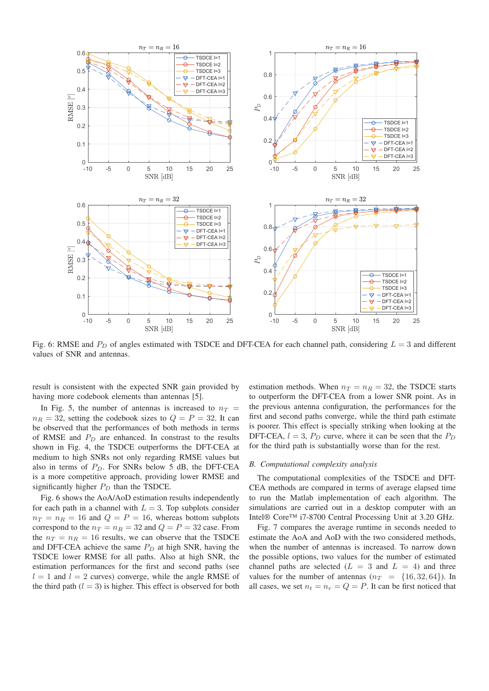

Fig. 6: RMSE and  $P_D$  of angles estimated with TSDCE and DFT-CEA for each channel path, considering  $L = 3$  and different values of SNR and antennas.

result is consistent with the expected SNR gain provided by having more codebook elements than antennas [5].

In Fig. 5, the number of antennas is increased to  $n_T$  =  $n_R = 32$ , setting the codebook sizes to  $Q = P = 32$ . It can be observed that the performances of both methods in terms of RMSE and  $P_D$  are enhanced. In constrast to the results shown in Fig. 4, the TSDCE outperforms the DFT-CEA at medium to high SNRs not only regarding RMSE values but also in terms of  $P_D$ . For SNRs below 5 dB, the DFT-CEA is a more competitive approach, providing lower RMSE and significantly higher  $P_D$  than the TSDCE.

Fig. 6 shows the AoA/AoD estimation results independently for each path in a channel with  $L = 3$ . Top subplots consider  $n_T = n_R = 16$  and  $Q = P = 16$ , whereas bottom subplots correspond to the  $n_T = n_R = 32$  and  $Q = P = 32$  case. From the  $n_T = n_R = 16$  results, we can observe that the TSDCE and DFT-CEA achieve the same  $P_D$  at high SNR, having the TSDCE lower RMSE for all paths. Also at high SNR, the estimation performances for the first and second paths (see  $l = 1$  and  $l = 2$  curves) converge, while the angle RMSE of the third path  $(l = 3)$  is higher. This effect is observed for both estimation methods. When  $n_T = n_R = 32$ , the TSDCE starts to outperform the DFT-CEA from a lower SNR point. As in the previous antenna configuration, the performances for the first and second paths converge, while the third path estimate is poorer. This effect is specially striking when looking at the DFT-CEA,  $l = 3$ ,  $P_D$  curve, where it can be seen that the  $P_D$ for the third path is substantially worse than for the rest.

#### *B. Computational complexity analysis*

The computational complexities of the TSDCE and DFT-CEA methods are compared in terms of average elapsed time to run the Matlab implementation of each algorithm. The simulations are carried out in a desktop computer with an Intel® Core™ i7-8700 Central Processing Unit at 3.20 GHz.

Fig. 7 compares the average runtime in seconds needed to estimate the AoA and AoD with the two considered methods, when the number of antennas is increased. To narrow down the possible options, two values for the number of estimated channel paths are selected  $(L = 3 \text{ and } L = 4)$  and three values for the number of antennas  $(n_T = \{16, 32, 64\})$ . In all cases, we set  $n_t = n_r = Q = P$ . It can be first noticed that